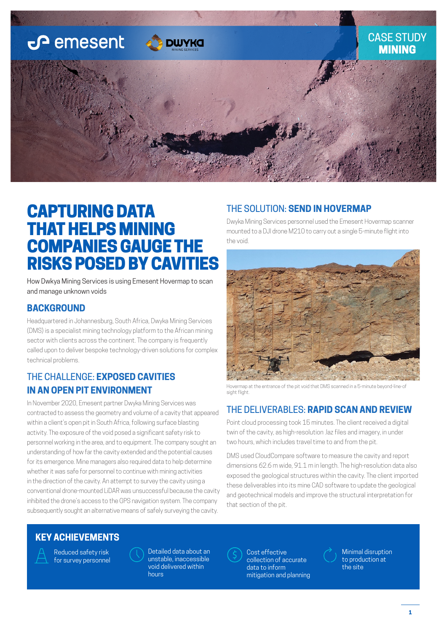

# CAPTURING DATA THAT HELPS MINING COMPANIES GAUGE THE RISKS POSED BY CAVITIES

How Dwkya Mining Services is using Emesent Hovermap to scan and manage unknown voids

#### **BACKGROUND**

Headquartered in Johannesburg, South Africa, Dwyka Mining Services (DMS) is a specialist mining technology platform to the African mining sector with clients across the continent. The company is frequently called upon to deliver bespoke technology-driven solutions for complex technical problems.

## THE CHALLENGE: **EXPOSED CAVITIES IN AN OPEN PIT ENVIRONMENT**

In November 2020, Emesent partner Dwyka Mining Services was contracted to assess the geometry and volume of a cavity that appeared within a client's open pit in South Africa, following surface blasting activity. The exposure of the void posed a significant safety risk to personnel working in the area, and to equipment. The company sought an understanding of how far the cavity extended and the potential causes for its emergence. Mine managers also required data to help determine whether it was safe for personnel to continue with mining activities in the direction of the cavity. An attempt to survey the cavity using a conventional drone-mounted LiDAR was unsuccessful because the cavity inhibited the drone's access to the GPS navigation system. The company subsequently sought an alternative means of safely surveying the cavity.

#### THE SOLUTION: **SEND IN HOVERMAP**

Dwyka Mining Services personnel used the Emesent Hovermap scanner mounted to a DJI drone M210 to carry out a single 5-minute flight into the void.



Hovermap at the entrance of the pit void that DMS scanned in a 5-minute beyond-line-of sight flight.

#### THE DELIVERABLES: **RAPID SCAN AND REVIEW**

Point cloud processing took 15 minutes. The client received a digital twin of the cavity, as high-resolution .laz files and imagery, in under two hours, which includes travel time to and from the pit.

DMS used CloudCompare software to measure the cavity and report dimensions 62.6 m wide, 91.1 m in length. The high-resolution data also exposed the geological structures within the cavity. The client imported these deliverables into its mine CAD software to update the geological and geotechnical models and improve the structural interpretation for that section of the pit.

#### **KEY ACHIEVEMENTS**

Reduced safety risk for survey personnel

Detailed data about an unstable, inaccessible void delivered within hours



Cost effective collection of accurate data to inform mitigation and planning Minimal disruption to production at the site